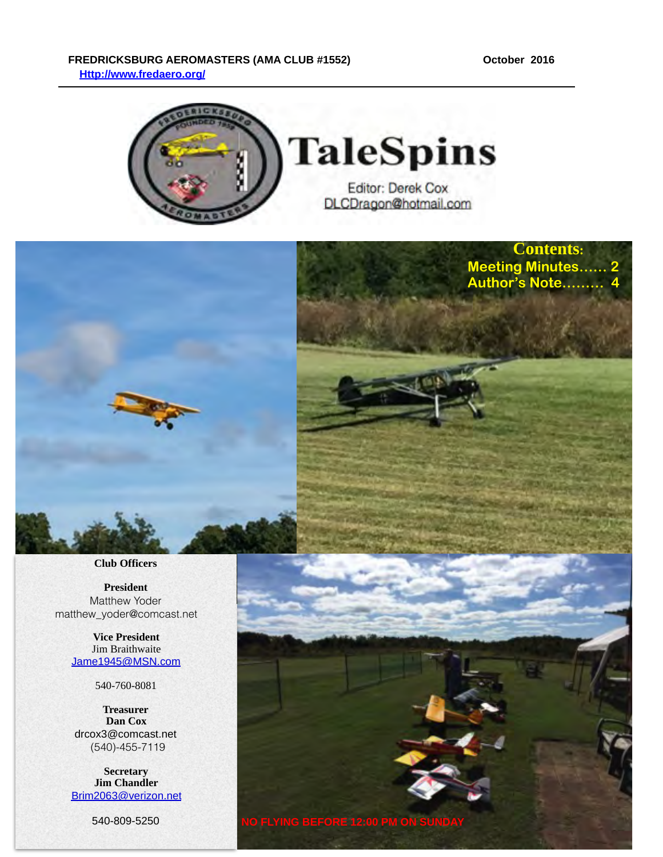**Contents: Meeting Minutes…… 2**  Author's Note........

#### FREDRICKSBURG AEROMASTERS (AMA CLUB #1552) October 2016  **[Http://www.fredaero.org/](http://www.fredaero.org/)**



**NO FLYING BEFORE 12:00 PM ON SUNDAY**



**Club Officers**

**President** Matthew Yoder matthew\_yoder@comcast.net

> **Vice President** Jim Braithwaite [Jame1945@MSN.com](mailto:knjburnett@comcast.net)

> > 540-760-8081

**Treasurer Dan Cox** drcox3@comcast.net (540)-455-7119

**Secretary Jim Chandler** [Brim2063@verizon.net](mailto:Brim2063@verizon.net?subject=)

540-809-5250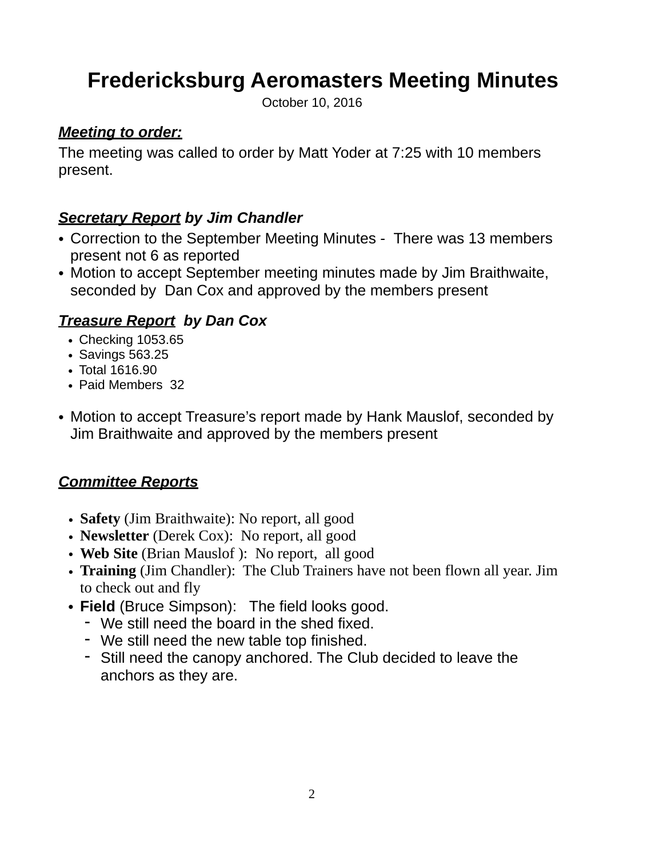# **Fredericksburg Aeromasters Meeting Minutes**

October 10, 2016

#### *Meeting to order:*

The meeting was called to order by Matt Yoder at 7:25 with 10 members present.

#### *Secretary Report by Jim Chandler*

- Correction to the September Meeting Minutes There was 13 members present not 6 as reported
- Motion to accept September meeting minutes made by Jim Braithwaite, seconded by Dan Cox and approved by the members present

#### *Treasure Report by Dan Cox*

- Checking 1053.65
- Savings 563.25
- Total 1616.90
- Paid Members 32
- Motion to accept Treasure's report made by Hank Mauslof, seconded by Jim Braithwaite and approved by the members present

#### *Committee Reports*

- **Safety** (Jim Braithwaite): No report, all good
- **Newsletter** (Derek Cox): No report, all good
- **Web Site** (Brian Mauslof): No report, all good
- **Training** (Jim Chandler): The Club Trainers have not been flown all year. Jim to check out and fly
- **Field** (Bruce Simpson): The field looks good.
	- We still need the board in the shed fixed.
	- We still need the new table top finished.
	- Still need the canopy anchored. The Club decided to leave the anchors as they are.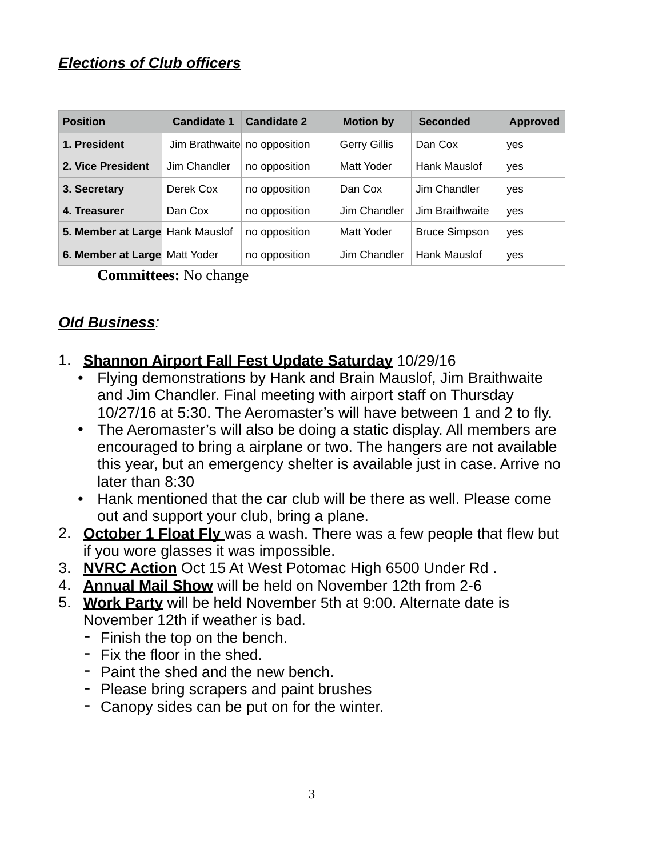#### *Elections of Club officers*

| <b>Position</b>                 | <b>Candidate 1</b>           | <b>Candidate 2</b> | <b>Motion by</b>    | <b>Seconded</b>      | <b>Approved</b> |
|---------------------------------|------------------------------|--------------------|---------------------|----------------------|-----------------|
| 1. President                    | Jim Brathwaite no opposition |                    | <b>Gerry Gillis</b> | Dan Cox              | yes             |
| 2. Vice President               | Jim Chandler                 | no opposition      | Matt Yoder          | Hank Mauslof         | yes             |
| 3. Secretary                    | Derek Cox                    | no opposition      | Dan Cox             | Jim Chandler         | yes             |
| 4. Treasurer                    | Dan Cox                      | no opposition      | Jim Chandler        | Jim Braithwaite      | yes             |
| 5. Member at Large Hank Mauslof |                              | no opposition      | Matt Yoder          | <b>Bruce Simpson</b> | yes             |
| 6. Member at Large Matt Yoder   |                              | no opposition      | Jim Chandler        | Hank Mauslof         | yes             |

**Committees:** No change

### *Old Business:*

#### 1. **Shannon Airport Fall Fest Update Saturday** 10/29/16

- Flying demonstrations by Hank and Brain Mauslof, Jim Braithwaite and Jim Chandler. Final meeting with airport staff on Thursday 10/27/16 at 5:30. The Aeromaster's will have between 1 and 2 to fly.
- The Aeromaster's will also be doing a static display. All members are encouraged to bring a airplane or two. The hangers are not available this year, but an emergency shelter is available just in case. Arrive no later than 8:30
- Hank mentioned that the car club will be there as well. Please come out and support your club, bring a plane.
- 2. **October 1 Float Fly** was a wash. There was a few people that flew but if you wore glasses it was impossible.
- 3. **NVRC Action** Oct 15 At West Potomac High 6500 Under Rd .
- 4. **Annual Mail Show** will be held on November 12th from 2-6
- 5. **Work Party** will be held November 5th at 9:00. Alternate date is November 12th if weather is bad.
	- Finish the top on the bench.
	- Fix the floor in the shed.
	- Paint the shed and the new bench.
	- Please bring scrapers and paint brushes
	- Canopy sides can be put on for the winter.